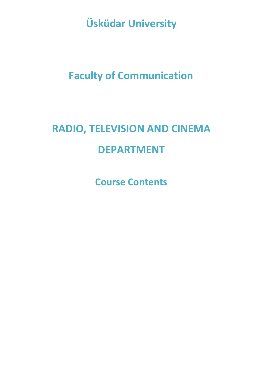**Üsküdar University**

# **Faculty of Communication**

# **RADIO, TELEVISION AND CINEMA DEPARTMENT**

**Course Contents**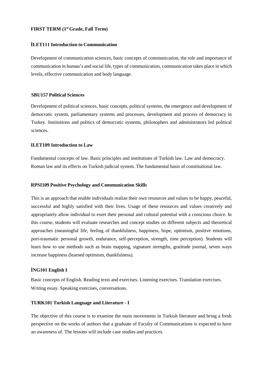# **FIRST TERM (1st Grade, Fall Term)**

#### **İLET111 Introduction to Communication**

Development of communication sciences, basic concepts of communication, the role and importance of communication in human's and social life, types of communication, communication takes place in which levels, effective communication and body language.

# **SBU157 Political Sciences**

Development of political sciences, basic concepts, political systems, the emergence and development of democratic system, parliamentary systems and processes, development and process of democracy in Turkey. Institutions and politics of democratic systems, philosophers and administrators led political sciences.

#### **ILET109 Introduction to Law**

Fundamental concepts of law. Basic principles and institutions of Turkish law. Law and democracy. Roman law and its effects on Turkish judicial system. The fundamental basis of constitutional law.

#### **RPSI109 Positive Psychology and Communication Skills**

This is an approach that enable individuals realize their own resources and values to be happy, peaceful, successful and highly satisfied with their lives. Usage of these resources and values creatively and appropriately allow individual to exert their personal and cultural potential with a conscious choice. In this course, students will evaluate researches and concept studies on different subjects and theoretical approaches (meaningful life, feeling of thankfulness, happiness, hope, optimism, positive emotions, port-traumatic personal growth, endurance, self-perception, strength, time perception). Students will learn how to use methods such as brain mapping, signature strengths, gratitude journal, seven ways increase happiness (learned optimism, thankfulness).

#### **İNG101 English I**

Basic concepts of English. Reading texts and exercises. Listening exercises. Translation exercises. Writing essay. Speaking exercises, conversations.

#### **TURK101 Turkish Language and Literature - I**

The objective of this course is to examine the main movements in Turkish literature and bring a fresh perspective on the works of authors that a graduate of Faculty of Communications is expected to have an awareness of. The lessons will include case studies and practices.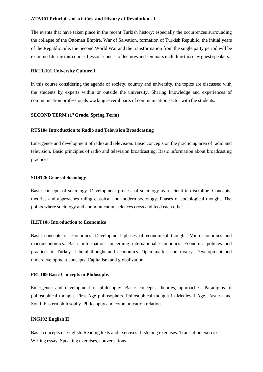# **ATA101 Principles of Atatürk and History of Revolution - I**

The events that have taken place in the recent Turkish history; especially the occurrences surrounding the collapse of the Ottoman Empire, War of Salvation, formation of Turkish Republic, the initial years of the Republic rule, the Second World War and the transformation from the single party period will be examined during this course. Lessons consist of lectures and seminarsincluding those by guest speakers.

#### **RKUL101 University Culture I**

In this course considering the agenda of society, country and university, the topics are discussed with the students by experts within or outside the university. Sharing knowledge and experiences of communication professionals working several parts of communication sector with the students.

# **SECOND TERM (1st Grade, Spring Term)**

#### **RTS104 Introduction to Radio and Television Broadcasting**

Emergence and development of radio and television. Basic concepts on the practicing area of radio and television. Basic principles of radio and television broadcasting. Basic information about broadcasting practices.

#### **SOS126 General Sociology**

Basic concepts of sociology. Development process of sociology as a scientific discipline. Concepts, theories and approaches ruling classical and modern sociology. Phases of sociological thought. The points where sociology and communication sciences cross and feed each other.

#### **İLET106 Introduction to Economics**

Basic concepts of economics. Development phases of economical thought. Microeconomics and macroeconomics. Basic information concerning international economics. Economic policies and practices in Turkey. Liberal thought and economics. Open market and rivalry. Development and underdevelopment concepts. Capitalism and globalization.

#### **FEL109 Basic Concepts in Philosophy**

Emergence and development of philosophy. Basic concepts, theories, approaches. Paradigms of philosophical thought. First Age philosophers. Philosophical thought in Medieval Age. Eastern and South Eastern philosophy. Philosophy and communication relation.

# **İNG102 English II**

Basic concepts of English. Reading texts and exercises. Listening exercises. Translation exercises. Writing essay. Speaking exercises, conversations.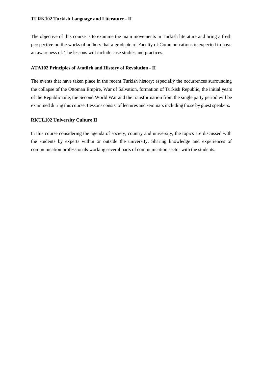The objective of this course is to examine the main movements in Turkish literature and bring a fresh perspective on the works of authors that a graduate of Faculty of Communications is expected to have an awareness of. The lessons will include case studies and practices.

# **ATA102 Principles of Atatürk and History of Revolution - II**

The events that have taken place in the recent Turkish history; especially the occurrences surrounding the collapse of the Ottoman Empire, War of Salvation, formation of Turkish Republic, the initial years of the Republic rule, the Second World War and the transformation from the single party period will be examined during this course. Lessons consist of lectures and seminars including those by guest speakers.

# **RKUL102 University Culture II**

In this course considering the agenda of society, country and university, the topics are discussed with the students by experts within or outside the university. Sharing knowledge and experiences of communication professionals working several parts of communication sector with the students.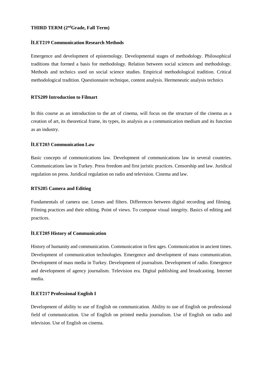# **THIRD TERM (2ndGrade, Fall Term)**

#### **İLET219 Communication Research Methods**

Emergence and development of epistemology. Developmental stages of methodology. Philosophical traditions that formed a basis for methodology. Relation between social sciences and methodology. Methods and technics used on social science studies. Empirical methodological tradition. Critical methodological tradition. Questionnaire technique, content analysis. Hermeneutic analysis technics

# **RTS209 Introduction to Filmart**

In this course as an introduction to the art of cinema, will focus on the structure of the cinema as a creation of art, its theoretical frame, its types, its analysis as a communication medium and its function as an industry.

# **İLET203 Communication Law**

Basic concepts of communications law. Development of communications law in several countries. Communications law in Turkey. Press freedom and first juristic practices. Censorship and law. Juridical regulation on press. Juridical regulation on radio and television. Cinema and law.

# **RTS205 Camera and Editing**

Fundamentals of camera use. Lenses and filters. Differences between digital recording and filming. Filming practices and their editing. Point of views. To compose visual integrity. Basics of editing and practices.

#### **İLET205 History of Communication**

History of humanity and communication. Communication in first ages. Communication in ancient times. Development of communication technologies. Emergence and development of mass communication. Development of mass media in Turkey. Development of journalism. Development of radio. Emergence and development of agency journalism. Television era. Digital publishing and broadcasting. Internet media.

### **İLET217 Professional English I**

Development of ability to use of English on communication. Ability to use of English on professional field of communication. Use of English on printed media journalism. Use of English on radio and television. Use of English on cinema.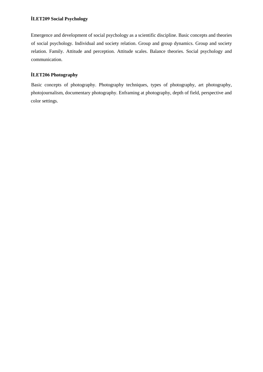# **İLET209 Social Psychology**

Emergence and development of social psychology as a scientific discipline. Basic concepts and theories of social psychology. Individual and society relation. Group and group dynamics. Group and society relation. Family. Attitude and perception. Attitude scales. Balance theories. Social psychology and communication.

# **İLET206 Photography**

Basic concepts of photography. Photography techniques, types of photography, art photography, photojournalism, documentary photography. Enframing at photography, depth of field, perspective and color settings.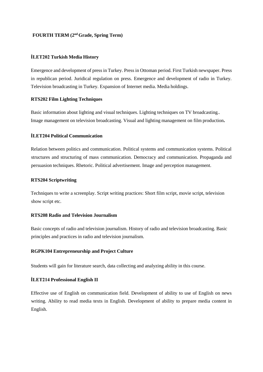# **FOURTH TERM (2nd Grade, Spring Term)**

#### **İLET202 Turkish Media History**

Emergence and development of press in Turkey. Press in Ottoman period. First Turkish newspaper. Press in republican period. Juridical regulation on press. Emergence and development of radio in Turkey. Television broadcasting in Turkey. Expansion of Internet media. Media holdings.

#### **RTS202 Film Lighting Techniques**

Basic information about lighting and visual techniques. Lighting techniques on TV broadcasting.. Image management on television broadcasting. Visual and lighting management on film production**.**

#### **İLET204 Political Communication**

Relation between politics and communication. Political systems and communication systems. Political structures and structuring of mass communication. Democracy and communication. Propaganda and persuasion techniques. Rhetoric. Political advertisement. Image and perception management.

#### **RTS204 Scriptwriting**

Techniques to write a screenplay. Script writing practices: Short film script, movie script, television show script etc.

#### **RTS208 Radio and Television Journalism**

Basic concepts of radio and television journalism. History of radio and television broadcasting. Basic principles and practices in radio and television journalism.

#### **RGPK104 Entrepreneurship and Project Culture**

Students will gain for literature search, data collecting and analyzing ability in this course.

#### **İLET214 Professional English II**

Effective use of English on communication field. Development of ability to use of English on news writing. Ability to read media texts in English. Development of ability to prepare media content in English.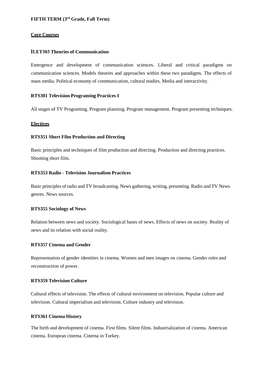# **FIFTH TERM (3rd Grade, Fall Term)**

#### **Core Courses**

# **İLET303 Theories of Communication**

Emergence and development of communication sciences. Liberal and critical paradigms on communication sciences. Models theories and approaches within these two paradigms. The effects of mass media. Political economy of communication, cultural studies. Media and interactivity.

# **RTS301 Television Programing Practices I**

All stages of TV Programing. Program planning. Program management. Program presenting techniques.

# **Electives**

# **RTS351 Short Film Production and Directing**

Basic principles and techniques of film production and directing. Production and directing practices. Shooting short film.

# **RTS353 Radio - Television Journalism Practices**

Basic principles of radio and TV broadcasting. News gathering, writing, presenting. Radio and TV News genres. News sources.

#### **RTS355 Sociology of News**

Relation between news and society. Sociological bases of news. Effects of news on society. Reality of news and its relation with social reality.

# **RTS357 Cinema and Gender**

Representation of gender identities in cinema. Women and men images on cinema. Gender roles and reconstruction of power.

# **RTS359 Television Culture**

Cultural effects of television. The effects of cultural environment on television. Popular culture and television. Cultural imperialism and television. Culture industry and television.

# **RTS361 Cinema History**

The birth and development of cinema. First films. Silent films. Industrialization of cinema. American cinema. European cinema. Cinema in Turkey.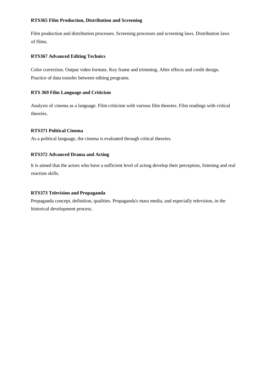# **RTS365 Film Production, Distribution and Screening**

Film production and distribution processes. Screening processes and screening laws. Distribution laws of films.

# **RTS367 Advanced Editing Technics**

Color correction. Output video formats. Key frame and trimming. After effects and credit design. Practice of data transfer between editing programs.

# **RTS 369 Film Language and Criticism**

Analysis of cinema as a language. Film criticism with various film theories. Film readings with critical theories.

# **RTS371 Political Cinema**

As a political language, the cinema is evaluated through critical theories.

# **RTS372 Advanced Drama and Acting**

It is aimed that the actors who have a sufficient level of acting develop their perception, listening and real reaction skills.

#### **RTS373 Television and Propaganda**

Propaganda concept, definition, qualities. Propaganda's mass media, and especially television, in the historical development process.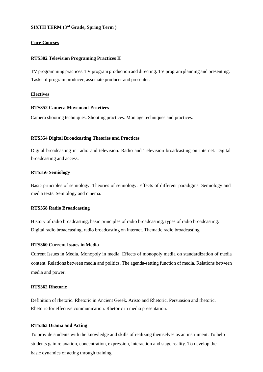# **SIXTH TERM (3rd Grade, Spring Term )**

#### **Core Courses**

#### **RTS302 Television Programing Practices II**

TV programming practices. TV program production and directing. TV program planning and presenting. Tasks of program producer, associate producer and presenter.

#### **Electives**

#### **RTS352 Camera Movement Practices**

Camera shooting techniques. Shooting practices. Montage techniques and practices.

#### **RTS354 Digital Broadcasting Theories and Practices**

Digital broadcasting in radio and television. Radio and Television broadcasting on internet. Digital broadcasting and access.

#### **RTS356 Semiology**

Basic principles of semiology. Theories of semiology. Effects of different paradigms. Semiology and media texts. Semiology and cinema.

#### **RTS358 Radio Broadcasting**

History of radio broadcasting, basic principles of radio broadcasting, types of radio broadcasting. Digital radio broadcasting, radio broadcasting on internet. Thematic radio broadcasting.

#### **RTS360 Current Issues in Media**

Current Issues in Media. Monopoly in media. Effects of monopoly media on standardization of media content. Relations between media and politics. The agenda-setting function of media. Relations between media and power.

#### **RTS362 Rhetoric**

Definition of rhetoric. Rhetoric in Ancient Greek. Aristo and Rhetoric. Persuasion and rhetoric. Rhetoric for effective communication. Rhetoric in media presentation.

#### **RTS363 Drama and Acting**

To provide students with the knowledge and skills of realizing themselves as an instrument. To help students gain relaxation, concentration, expression, interaction and stage reality. To develop the basic dynamics of acting through training.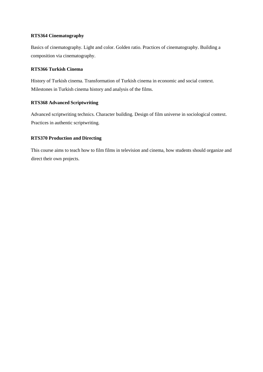# **RTS364 Cinematography**

Basics of cinematography. Light and color. Golden ratio. Practices of cinematography. Building a composition via cinematography.

# **RTS366 Turkish Cinema**

History of Turkish cinema. Transformation of Turkish cinema in economic and social context. Milestones in Turkish cinema history and analysis of the films.

# **RTS368 Advanced Scriptwriting**

Advanced scriptwriting technics. Character building. Design of film universe in sociological context. Practices in authentic scriptwriting.

# **RTS370 Production and Directing**

This course aims to teach how to film films in television and cinema, how students should organize and direct their own projects.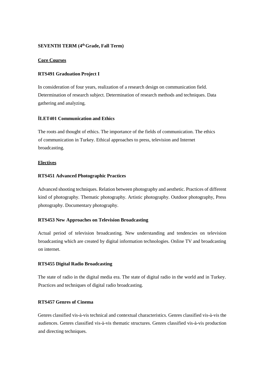#### **SEVENTH TERM (4thGrade, Fall Term)**

#### **Core Courses**

#### **RTS491 Graduation Project I**

In consideration of four years, realization of a research design on communication field. Determination of research subject. Determination of research methods and techniques. Data gathering and analyzing.

# **İLET401 Communication and Ethics**

The roots and thought of ethics. The importance of the fields of communication. The ethics of communication in Turkey. Ethical approaches to press, television and Internet broadcasting.

#### **Electives**

#### **RTS451 Advanced Photographic Practices**

Advanced shooting techniques. Relation between photography and aesthetic. Practices of different kind of photography. Thematic photography. Artistic photography. Outdoor photography, Press photography. Documentary photography.

# **RTS453 New Approaches on Television Broadcasting**

Actual period of television broadcasting. New understanding and tendencies on television broadcasting which are created by digital information technologies. Online TV and broadcasting on internet.

#### **RTS455 Digital Radio Broadcasting**

The state of radio in the digital media era. The state of digital radio in the world and in Turkey. Practices and techniques of digital radio broadcasting.

# **RTS457 Genres of Cinema**

Genres classified vis-à-vis technical and contextual characteristics. Genres classified vis-à-vis the audiences. Genres classified vis-à-vis thematic structures. Genres classified vis-à-vis production and directing techniques.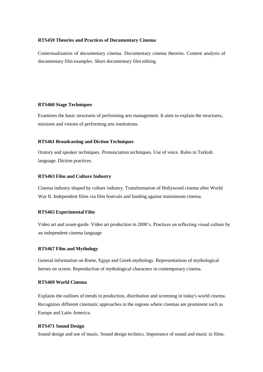#### **RTS459 Theories and Practices of Documentary Cinema**

Contextualization of documentary cinema. Documentary cinema theories. Content analysis of documentary film examples. Short documentary film editing.

#### **RTS460 Stage Techniques**

Examines the basic structures of performing arts management. It aims to explain the structures, missions and visions of performing arts institutions.

#### **RTS461 Broadcasting and Diction Techniques**

Oratory and speaker techniques. Pronunciation techniques. Use of voice. Rules in Turkish language. Diction practices.

#### **RTS463 Film and Culture Industry**

Cinema industry shaped by culture industry. Transformation of Hollywood cinema after World War II. Independent films via film festivals and funding against mainstream cinema.

#### **RTS465 Experimental Film**

Video art and avant-garde. Video art production in 2000's. Practices on reflecting visual culture by an independent cinema language

#### **RTS467 Film and Mythology**

General information on Rome, Egypt and Greek mythology. Representations of mythological heroes on screen. Reproduction of mythological characters in contemporary cinema.

#### **RTS469 World Cinema**

Explains the outlines of trends in production, distribution and screening in today's world cinema. Recognizes different cinematic approaches in the regions where cinemas are prominent such as Europe and Latin America.

#### **RTS471 Sound Design**

Sound design and use of music. Sound design technics. Importance of sound and music in films.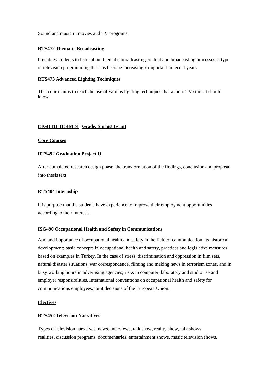Sound and music in movies and TV programs.

#### **RTS472 Thematic Broadcasting**

It enables students to learn about thematic broadcasting content and broadcasting processes, a type of television programming that has become increasingly important in recent years.

#### **RTS473 Advanced Lighting Techniques**

This course aims to teach the use of various lighting techniques that a radio TV student should know.

# **EIGHTH TERM (4thGrade, Spring Term)**

#### **Core Courses**

#### **RTS492 Graduation Project II**

After completed research design phase, the transformation of the findings, conclusion and proposal into thesis text.

#### **RTS404 Internship**

It is purpose that the students have experience to improve their employment opportunities according to their interests.

#### **ISG490 Occupational Health and Safety in Communications**

Aim and importance of occupational health and safety in the field of communication, its historical development; basic concepts in occupational health and safety, practices and legislative measures based on examples in Turkey. In the case of stress, discrimination and oppression in film sets, natural disaster situations, war correspondence, filming and making news in terrorism zones, and in busy working hours in advertising agencies; risks in computer, laboratory and studio use and employer responsibilities. International conventions on occupational health and safety for communications employees, joint decisions of the European Union.

#### **Electives**

#### **RTS452 Television Narratives**

Types of television narratives, news, interviews, talk show, reality show, talk shows, realities, discussion programs, documentaries, entertainment shows, music television shows.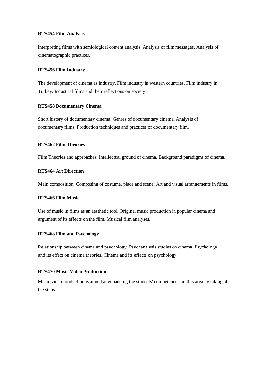#### **RTS454 Film Analysis**

Interpreting films with semiological content analysis. Analysis of film messages. Analysis of cinematographic practices.

#### **RTS456 Film Industry**

The development of cinema as industry. Film industry in western countries. Film industry in Turkey. Industrial films and their reflections on society.

#### **RTS458 Documentary Cinema**

Short history of documentary cinema. Genres of documentary cinema. Analysis of documentary films. Production techniques and practices of documentary film.

# **RTS462 Film Theories**

Film Theories and approaches. Intellectual ground of cinema. Background paradigms of cinema.

#### **RTS464 Art Direction**

Main composition. Composing of costume, place and scene. Art and visual arrangements in films.

#### **RTS466 Film Music**

Use of music in films as an aesthetic tool. Original music production in popular cinema and argument of its effects on the film. Musical film analyses.

#### **RTS468 Film and Psychology**

Relationship between cinema and psychology. Psychanalysis studies on cinema. Psychology and its effect on cinema theories. Cinema and its effects on psychology.

#### **RTS470 Music Video Production**

Music video production is aimed at enhancing the students' competencies in this area by taking all the steps.